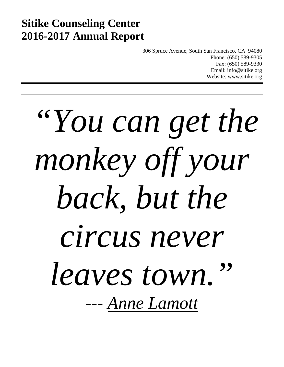# **Sitike Counseling Center 2016-2017 Annual Report**

306 Spruce Avenue, South San Francisco, CA 94080 Phone: (650) 589-9305 Fax: (650) 589-9330 Email: info@sitike.org Website: www.sitike.org

# *"You can get the monkey off your back, but the circus never leaves town." --- Anne Lamott*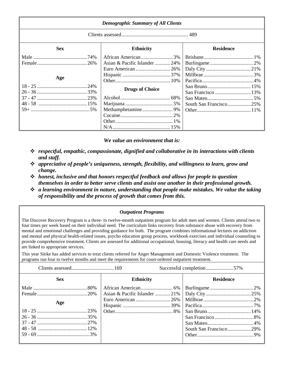| <b>Demographic Summary of All Clients</b> |                               |                        |  |
|-------------------------------------------|-------------------------------|------------------------|--|
|                                           |                               |                        |  |
| <b>Sex</b>                                | <b>Ethnicity</b>              | <b>Residence</b>       |  |
|                                           |                               |                        |  |
|                                           | Asian & Pacific Islander  24% |                        |  |
|                                           |                               |                        |  |
|                                           |                               |                        |  |
| Age                                       |                               |                        |  |
|                                           |                               |                        |  |
|                                           | <b>Drugs of Choice</b>        |                        |  |
|                                           |                               |                        |  |
|                                           |                               | South San Francisco25% |  |
|                                           |                               |                        |  |
|                                           |                               |                        |  |
|                                           |                               |                        |  |
|                                           |                               |                        |  |

*We value an environment that is:*

- *respectful, empathic, compassionate, dignified and collaborative in its interactions with clients and staff.*
- *appreciative of people's uniqueness, strength, flexibility, and willingness to learn, grow and change.*
- *honest, inclusive and that honors respectful feedback and allows for people to question themselves in order to better serve clients and assist one another in their professional growth.*
- *a learning environment in nature, understanding that people make mistakes. We value the taking of responsibility and the process of growth that comes from this.*

*Outpatient Programs*

The Discover Recovery Program is a three- to twelve-month outpatient program for adult men and women. Clients attend two to four times per week based on their individual need. The curriculum links recovery from substance abuse with recovery from mental and emotional challenges and providing guidance for both. The program combines informational lectures on addiction and mental and physical health-related issues, psycho education group process, workbook exercises and individual counseling to provide comprehensive treatment. Clients are assessed for additional occupational, housing, literacy and health care needs and are linked to appropriate services.

This year Sitike has added services to treat clients referred for Anger Management and Domestic Violence treatment. The programs run four to twelve months and meet the requirements for court-ordered outpatient treatment.

|            |                  | Successful completion57% |
|------------|------------------|--------------------------|
| <b>Sex</b> | <b>Ethnicity</b> | <b>Residence</b>         |
|            |                  |                          |
|            |                  |                          |
| Age        |                  |                          |
|            |                  |                          |
|            |                  |                          |
|            |                  |                          |
|            |                  |                          |
|            |                  | South San Francisco29%   |
|            |                  |                          |
|            |                  |                          |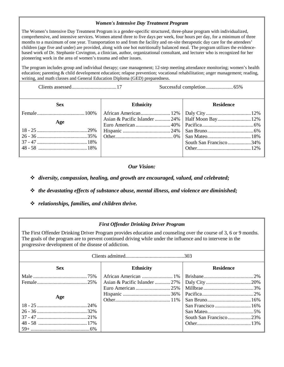## *Women's Intensive Day Treatment Program*

The Women's Intensive Day Treatment Program is a gender-specific structured, three-phase program with individualized, comprehensive, and intensive services. Women attend three to five days per week, four hours per day, for a minimum of three months to a maximum of one year. Transportation to and from the facility and on-site therapeutic day care for the attendees' children (age five and under) are provided, along with one hot nutritionally balanced meal. The program utilizes the evidencebased work of Dr. Stephanie Covington, a clinician, author, organizational consultant, and lecturer who is recognized for her pioneering work in the area of women's trauma and other issues.

The program includes group and individual therapy; case management; 12-step meeting attendance monitoring; women's health education; parenting & child development education; relapse prevention; vocational rehabilitation; anger management; reading, writing, and math classes and General Education Diploma (GED) preparedness.

Clients assessed...................................17 Successful completion.....................65%

| <b>Sex</b> | <b>Ethnicity</b> | <b>Residence</b>       |
|------------|------------------|------------------------|
|            |                  |                        |
| Age        |                  |                        |
|            |                  |                        |
|            |                  |                        |
|            |                  |                        |
|            |                  | South San Francisco34% |
|            |                  |                        |
|            |                  |                        |

# *Our Vision:*

*diversity, compassion, healing, and growth are encouraged, valued, and celebrated;*

- *the devastating effects of substance abuse, mental illness, and violence are diminished;*
- *relationships, families, and children thrive.*

# *First Offender Drinking Driver Program*

The First Offender Drinking Driver Program provides education and counseling over the course of 3, 6 or 9 months. The goals of the program are to prevent continued driving while under the influence and to intervene in the progressive development of the disease of addiction.

| <b>Sex</b> | <b>Ethnicity</b> | <b>Residence</b>       |  |
|------------|------------------|------------------------|--|
|            |                  |                        |  |
|            |                  |                        |  |
|            |                  |                        |  |
|            |                  |                        |  |
| Age        |                  |                        |  |
|            |                  |                        |  |
|            |                  |                        |  |
|            |                  | South San Francisco23% |  |
|            |                  |                        |  |
|            |                  |                        |  |